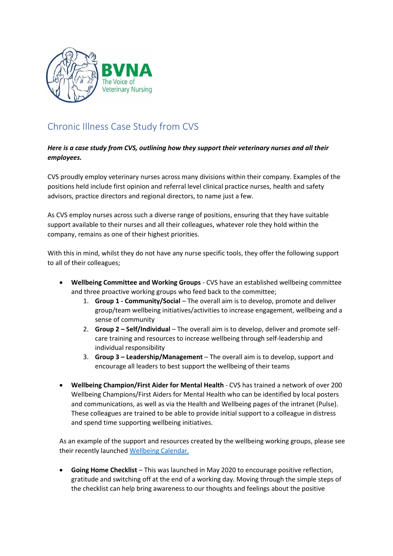

## Chronic Illness Case Study from CVS

## *Here is a case study from CVS, outlining how they support their veterinary nurses and all their employees.*

CVS proudly employ veterinary nurses across many divisions within their company. Examples of the positions held include first opinion and referral level clinical practice nurses, health and safety advisors, practice directors and regional directors, to name just a few.

As CVS employ nurses across such a diverse range of positions, ensuring that they have suitable support available to their nurses and all their colleagues, whatever role they hold within the company, remains as one of their highest priorities.

With this in mind, whilst they do not have any nurse specific tools, they offer the following support to all of their colleagues;

- **Wellbeing Committee and Working Groups** CVS have an established wellbeing committee and three proactive working groups who feed back to the committee;
	- 1. **Group 1 - Community/Social** The overall aim is to develop, promote and deliver group/team wellbeing initiatives/activities to increase engagement, wellbeing and a sense of community
	- 2. **Group 2 – Self/Individual** The overall aim is to develop, deliver and promote selfcare training and resources to increase wellbeing through self-leadership and individual responsibility
	- 3. **Group 3 – Leadership/Management** The overall aim is to develop, support and encourage all leaders to best support the wellbeing of their teams
- **Wellbeing Champion/First Aider for Mental Health** CVS has trained a network of over 200 Wellbeing Champions/First Aiders for Mental Health who can be identified by local posters and communications, as well as via the Health and Wellbeing pages of the intranet (Pulse). These colleagues are trained to be able to provide initial support to a colleague in distress and spend time supporting wellbeing initiatives.

As an example of the support and resources created by the wellbeing working groups, please see their recently launched [Wellbeing Calendar.](file://///server02/public/data/WORK/Membership/Campaigns/Chronic%20Illness/VN%20Tool%20Kit/Wellbeing%20Calendar.pdf)

• **Going Home Checklist** – This was launched in May 2020 to encourage positive reflection, gratitude and switching off at the end of a working day. Moving through the simple steps of the checklist can help bring awareness to our thoughts and feelings about the positive